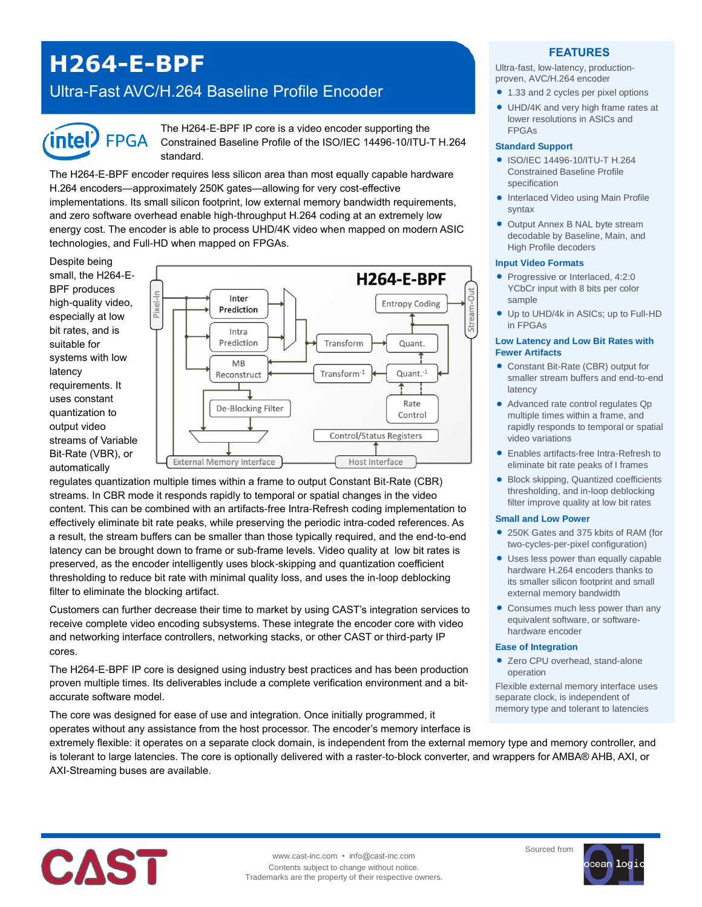# **H264-E-BPF**

## Ultra-Fast AVC/H.264 Baseline Profile Encoder



The H264-E-BPF IP core is a video encoder supporting the Constrained Baseline Profile of the ISO/IEC 14496-10/ITU-T H.264 standard.

The H264-E-BPF encoder requires less silicon area than most equally capable hardware H.264 encoders—approximately 250K gates—allowing for very cost-effective implementations. Its small silicon footprint, low external memory bandwidth requirements, and zero software overhead enable high-throughput H.264 coding at an extremely low energy cost. The encoder is able to process UHD/4K video when mapped on modern ASIC technologies, and Full-HD when mapped on FPGAs.

Despite being small, the H264-E-BPF produces high-quality video, especially at low bit rates, and is suitable for systems with low latency requirements. It uses constant quantization to output video streams of Variable Bit-Rate (VBR), or automatically



regulates quantization multiple times within a frame to output Constant Bit-Rate (CBR) streams. In CBR mode it responds rapidly to temporal or spatial changes in the video content. This can be combined with an artifacts-free Intra-Refresh coding implementation to effectively eliminate bit rate peaks, while preserving the periodic intra-coded references. As a result, the stream buffers can be smaller than those typically required, and the end-to-end latency can be brought down to frame or sub-frame levels. Video quality at low bit rates is preserved, as the encoder intelligently uses block-skipping and quantization coefficient thresholding to reduce bit rate with minimal quality loss, and uses the in-loop deblocking filter to eliminate the blocking artifact.

Customers can further decrease their time to market by using CAST's integration services to receive complete video encoding subsystems. These integrate the encoder core with video and networking interface controllers, networking stacks, or other CAST or third-party IP cores.

The H264-E-BPF IP core is designed using industry best practices and has been production proven multiple times. Its deliverables include a complete verification environment and a bitaccurate software model.

The core was designed for ease of use and integration. Once initially programmed, it operates without any assistance from the host processor. The encoder's memory interface is

### **FEATURES**

Ultra-fast, low-latency, productionproven, AVC/H.264 encoder

- 1.33 and 2 cycles per pixel options
- UHD/4K and very high frame rates at lower resolutions in ASICs and FPGAs

#### **Standard Support**

- ISO/IEC 14496-10/ITU-T H.264 Constrained Baseline Profile specification
- **Interlaced Video using Main Profile** syntax
- Output Annex B NAL byte stream decodable by Baseline, Main, and High Profile decoders

#### **Input Video Formats**

- Progressive or Interlaced, 4:2:0 YCbCr input with 8 bits per color sample
- Up to UHD/4k in ASICs; up to Full-HD in FPGAs

#### **Low Latency and Low Bit Rates with Fewer Artifacts**

- Constant Bit-Rate (CBR) output for smaller stream buffers and end-to-end latency
- Advanced rate control regulates Qp multiple times within a frame, and rapidly responds to temporal or spatial video variations
- Enables artifacts-free Intra-Refresh to eliminate bit rate peaks of I frames
- Block skipping, Quantized coefficients thresholding, and in-loop deblocking filter improve quality at low bit rates

#### **Small and Low Power**

- 250K Gates and 375 kbits of RAM (for two-cycles-per-pixel configuration)
- Uses less power than equally capable hardware H.264 encoders thanks to its smaller silicon footprint and small external memory bandwidth
- Consumes much less power than any equivalent software, or softwarehardware encoder

#### **Ease of Integration**

● Zero CPU overhead, stand-alone operation

Flexible external memory interface uses separate clock, is independent of memory type and tolerant to latencies

extremely flexible: it operates on a separate clock domain, is independent from the external memory type and memory controller, and is tolerant to large latencies. The core is optionally delivered with a raster-to-block converter, and wrappers for AMBA® AHB, AXI, or AXI-Streaming buses are available.